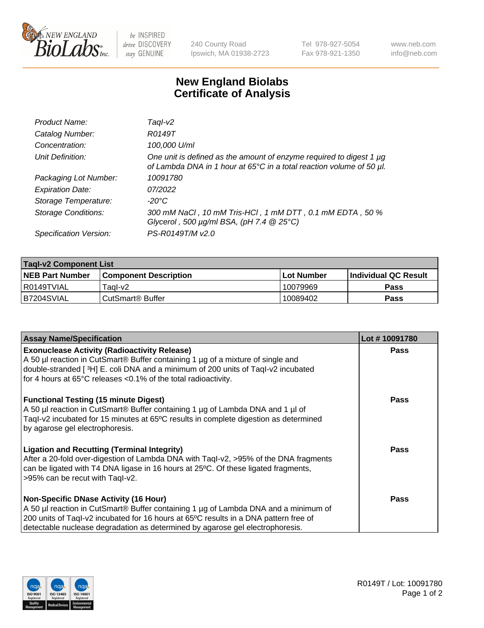

be INSPIRED drive DISCOVERY stay GENUINE

240 County Road Ipswich, MA 01938-2723 Tel 978-927-5054 Fax 978-921-1350

www.neb.com info@neb.com

## **New England Biolabs Certificate of Analysis**

| Product Name:              | Taql-v2                                                                                                                                     |
|----------------------------|---------------------------------------------------------------------------------------------------------------------------------------------|
| Catalog Number:            | R0149T                                                                                                                                      |
| Concentration:             | 100,000 U/ml                                                                                                                                |
| Unit Definition:           | One unit is defined as the amount of enzyme required to digest 1 µg<br>of Lambda DNA in 1 hour at 65°C in a total reaction volume of 50 µl. |
| Packaging Lot Number:      | 10091780                                                                                                                                    |
| <b>Expiration Date:</b>    | 07/2022                                                                                                                                     |
| Storage Temperature:       | $-20^{\circ}$ C                                                                                                                             |
| <b>Storage Conditions:</b> | 300 mM NaCl, 10 mM Tris-HCl, 1 mM DTT, 0.1 mM EDTA, 50 %<br>Glycerol, 500 $\mu$ g/ml BSA, (pH 7.4 $@25°C$ )                                 |
| Specification Version:     | PS-R0149T/M v2.0                                                                                                                            |

| <b>Tagl-v2 Component List</b> |                              |              |                             |  |  |
|-------------------------------|------------------------------|--------------|-----------------------------|--|--|
| <b>NEB Part Number</b>        | <b>Component Description</b> | l Lot Number | <b>Individual QC Result</b> |  |  |
| I R0149TVIAL                  | Taɑl-v2                      | 10079969     | <b>Pass</b>                 |  |  |
| B7204SVIAL                    | l CutSmart® Buffer           | 10089402     | Pass                        |  |  |

| <b>Assay Name/Specification</b>                                                                                                                                                                                                                                                                                          | Lot #10091780 |
|--------------------------------------------------------------------------------------------------------------------------------------------------------------------------------------------------------------------------------------------------------------------------------------------------------------------------|---------------|
| <b>Exonuclease Activity (Radioactivity Release)</b><br>A 50 µl reaction in CutSmart® Buffer containing 1 µg of a mixture of single and<br>double-stranded [3H] E. coli DNA and a minimum of 200 units of Taql-v2 incubated<br>for 4 hours at 65°C releases <0.1% of the total radioactivity.                             | <b>Pass</b>   |
| <b>Functional Testing (15 minute Digest)</b><br>A 50 µl reaction in CutSmart® Buffer containing 1 µg of Lambda DNA and 1 µl of<br>Tagl-v2 incubated for 15 minutes at 65°C results in complete digestion as determined<br>by agarose gel electrophoresis.                                                                | Pass          |
| <b>Ligation and Recutting (Terminal Integrity)</b><br>After a 20-fold over-digestion of Lambda DNA with Taql-v2, >95% of the DNA fragments<br>can be ligated with T4 DNA ligase in 16 hours at 25°C. Of these ligated fragments,<br>>95% can be recut with Taql-v2.                                                      | <b>Pass</b>   |
| <b>Non-Specific DNase Activity (16 Hour)</b><br>A 50 µl reaction in CutSmart <sup>®</sup> Buffer containing 1 µg of Lambda DNA and a minimum of<br>200 units of Taql-v2 incubated for 16 hours at 65°C results in a DNA pattern free of<br>detectable nuclease degradation as determined by agarose gel electrophoresis. | Pass          |